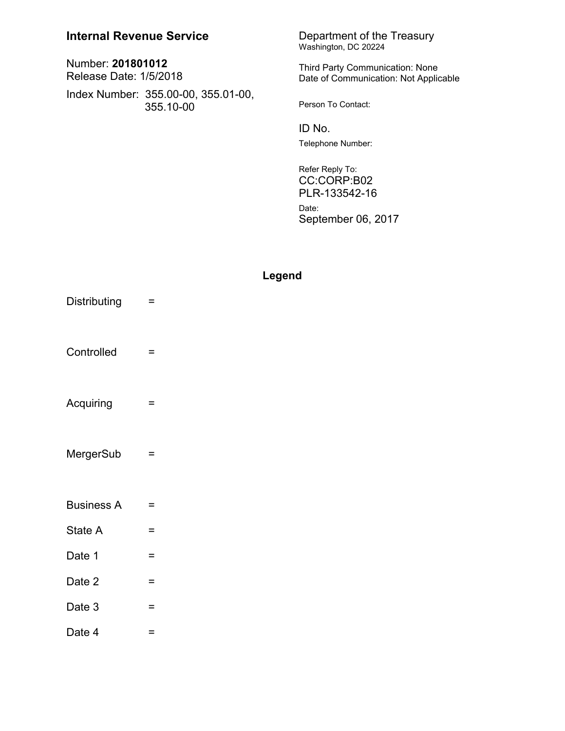| <b>Internal Revenue Service</b>                  | Department of the Treasury<br>Washington, DC 20224                       |
|--------------------------------------------------|--------------------------------------------------------------------------|
| Number: 201801012<br>Release Date: 1/5/2018      | Third Party Communication: None<br>Date of Communication: Not Applicable |
| Index Number: 355.00-00, 355.01-00,<br>355.10-00 | Person To Contact:                                                       |
|                                                  | ID No.                                                                   |
|                                                  | Telephone Number:                                                        |
|                                                  | Refer Reply To:<br>CC:CORP:B02                                           |

PLR-133542-16 Date: September 06, 2017

# Legend

Distributing  $\equiv$ Controlled = Acquiring  $\equiv$ MergerSub  $\equiv$ **Business A**  $\equiv$ State A  $\equiv$ Date 1  $\equiv$ Date 2  $\equiv$ Date  $3 =$ Date 4  $\mathcal{L}_{\text{max}}$  and  $\mathcal{L}_{\text{max}}$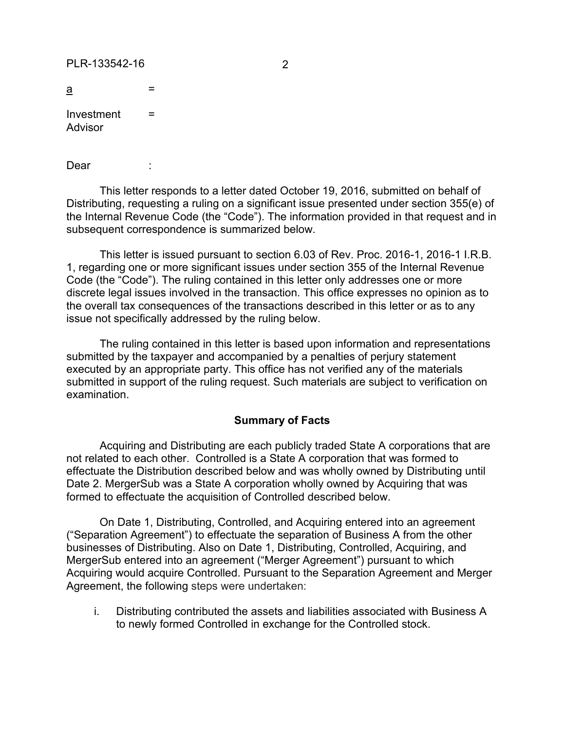#### PLR-133542-16 2

| а          | -      |  |
|------------|--------|--|
| Investment | -<br>= |  |

Investment Advisor

Dear :

This letter responds to a letter dated October 19, 2016, submitted on behalf of Distributing, requesting a ruling on a significant issue presented under section 355(e) of the Internal Revenue Code (the "Code"). The information provided in that request and in subsequent correspondence is summarized below.

This letter is issued pursuant to section 6.03 of Rev. Proc. 2016-1, 2016-1 I.R.B. 1, regarding one or more significant issues under section 355 of the Internal Revenue Code (the "Code"). The ruling contained in this letter only addresses one or more discrete legal issues involved in the transaction. This office expresses no opinion as to the overall tax consequences of the transactions described in this letter or as to any issue not specifically addressed by the ruling below.

The ruling contained in this letter is based upon information and representations submitted by the taxpayer and accompanied by a penalties of perjury statement executed by an appropriate party. This office has not verified any of the materials submitted in support of the ruling request. Such materials are subject to verification on examination.

### **Summary of Facts**

Acquiring and Distributing are each publicly traded State A corporations that are not related to each other. Controlled is a State A corporation that was formed to effectuate the Distribution described below and was wholly owned by Distributing until Date 2. MergerSub was a State A corporation wholly owned by Acquiring that was formed to effectuate the acquisition of Controlled described below.

On Date 1, Distributing, Controlled, and Acquiring entered into an agreement ("Separation Agreement") to effectuate the separation of Business A from the other businesses of Distributing. Also on Date 1, Distributing, Controlled, Acquiring, and MergerSub entered into an agreement ("Merger Agreement") pursuant to which Acquiring would acquire Controlled. Pursuant to the Separation Agreement and Merger Agreement, the following steps were undertaken:

i. Distributing contributed the assets and liabilities associated with Business A to newly formed Controlled in exchange for the Controlled stock.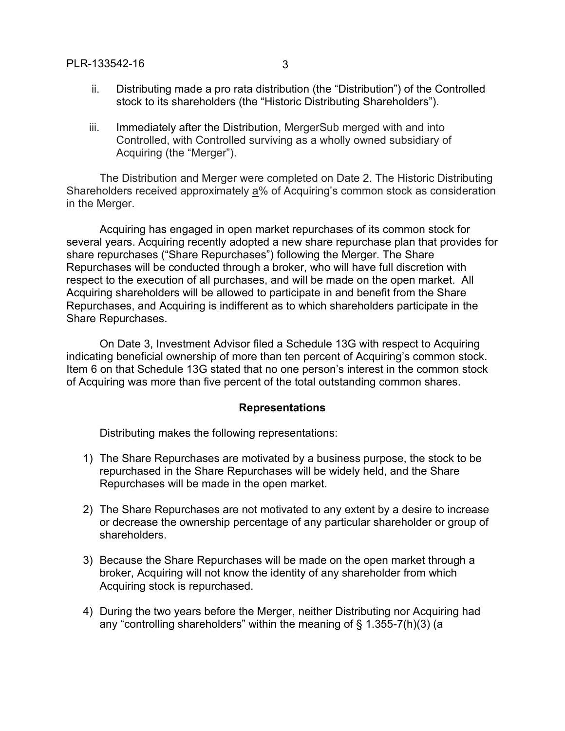## PLR-133542-16 3

- 
- ii. Distributing made a pro rata distribution (the "Distribution") of the Controlled stock to its shareholders (the "Historic Distributing Shareholders").
- iii. Immediately after the Distribution, MergerSub merged with and into Controlled, with Controlled surviving as a wholly owned subsidiary of Acquiring (the "Merger").

The Distribution and Merger were completed on Date 2. The Historic Distributing Shareholders received approximately a% of Acquiring's common stock as consideration in the Merger.

Acquiring has engaged in open market repurchases of its common stock for several years. Acquiring recently adopted a new share repurchase plan that provides for share repurchases ("Share Repurchases") following the Merger. The Share Repurchases will be conducted through a broker, who will have full discretion with respect to the execution of all purchases, and will be made on the open market. All Acquiring shareholders will be allowed to participate in and benefit from the Share Repurchases, and Acquiring is indifferent as to which shareholders participate in the Share Repurchases.

On Date 3, Investment Advisor filed a Schedule 13G with respect to Acquiring indicating beneficial ownership of more than ten percent of Acquiring's common stock. Item 6 on that Schedule 13G stated that no one person's interest in the common stock of Acquiring was more than five percent of the total outstanding common shares.

### **Representations**

Distributing makes the following representations:

- 1) The Share Repurchases are motivated by a business purpose, the stock to be repurchased in the Share Repurchases will be widely held, and the Share Repurchases will be made in the open market.
- 2) The Share Repurchases are not motivated to any extent by a desire to increase or decrease the ownership percentage of any particular shareholder or group of shareholders.
- 3) Because the Share Repurchases will be made on the open market through a broker, Acquiring will not know the identity of any shareholder from which Acquiring stock is repurchased.
- 4) During the two years before the Merger, neither Distributing nor Acquiring had any "controlling shareholders" within the meaning of  $\S$  1.355-7(h)(3) (a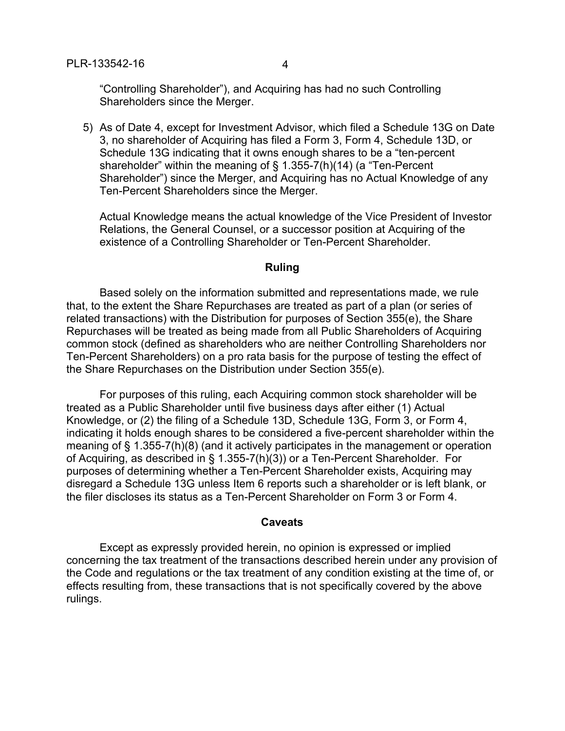"Controlling Shareholder"), and Acquiring has had no such Controlling Shareholders since the Merger.

5) As of Date 4, except for Investment Advisor, which filed a Schedule 13G on Date 3, no shareholder of Acquiring has filed a Form 3, Form 4, Schedule 13D, or Schedule 13G indicating that it owns enough shares to be a "ten-percent shareholder" within the meaning of § 1.355-7(h)(14) (a "Ten-Percent Shareholder") since the Merger, and Acquiring has no Actual Knowledge of any Ten-Percent Shareholders since the Merger.

Actual Knowledge means the actual knowledge of the Vice President of Investor Relations, the General Counsel, or a successor position at Acquiring of the existence of a Controlling Shareholder or Ten-Percent Shareholder.

#### **Ruling**

Based solely on the information submitted and representations made, we rule that, to the extent the Share Repurchases are treated as part of a plan (or series of related transactions) with the Distribution for purposes of Section 355(e), the Share Repurchases will be treated as being made from all Public Shareholders of Acquiring common stock (defined as shareholders who are neither Controlling Shareholders nor Ten-Percent Shareholders) on a pro rata basis for the purpose of testing the effect of the Share Repurchases on the Distribution under Section 355(e).

For purposes of this ruling, each Acquiring common stock shareholder will be treated as a Public Shareholder until five business days after either (1) Actual Knowledge, or (2) the filing of a Schedule 13D, Schedule 13G, Form 3, or Form 4, indicating it holds enough shares to be considered a five-percent shareholder within the meaning of § 1.355-7(h)(8) (and it actively participates in the management or operation of Acquiring, as described in § 1.355-7(h)(3)) or a Ten-Percent Shareholder. For purposes of determining whether a Ten-Percent Shareholder exists, Acquiring may disregard a Schedule 13G unless Item 6 reports such a shareholder or is left blank, or the filer discloses its status as a Ten-Percent Shareholder on Form 3 or Form 4.

#### **Caveats**

Except as expressly provided herein, no opinion is expressed or implied concerning the tax treatment of the transactions described herein under any provision of the Code and regulations or the tax treatment of any condition existing at the time of, or effects resulting from, these transactions that is not specifically covered by the above rulings.